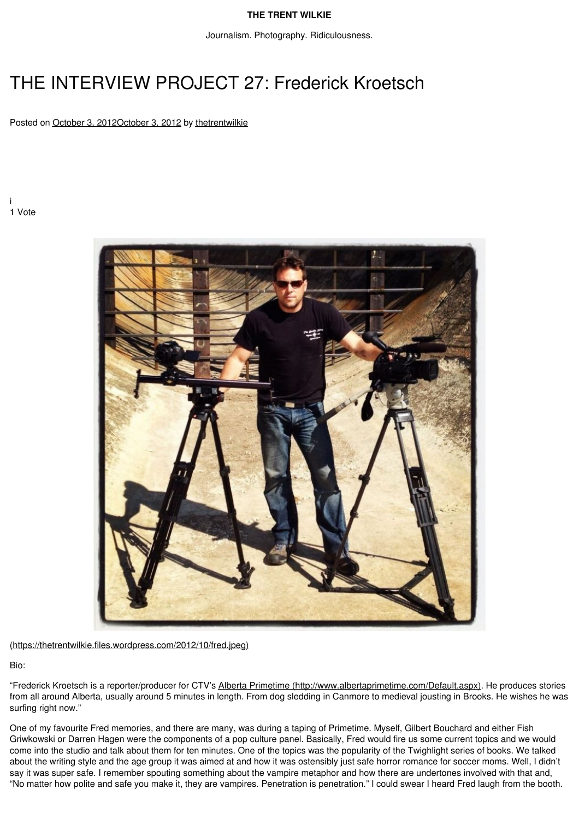#### **THE TRENT [WILKIE](https://thetrentwilkie.com/)**

Journalism. Photography. Ridiculousness.

# THE INTERVIEW PROJECT 27: Frederick Kroetsch

Posted on October 3, [2012October](https://thetrentwilkie.com/2012/10/03/the-interview-project-27-frederick-kroetsch/) 3, 2012 by [thetrentwilkie](https://thetrentwilkie.com/author/thetrentwilkie/)

i 1 Vote



[\(https://thetrentwilkie.files.wordpress.com/2012/10/fred.jpeg\)](https://thetrentwilkie.files.wordpress.com/2012/10/fred.jpeg)

Bio:

"Frederick Kroetsch is a reporter/producer for CTV's Alberta Primetime [\(http://www.albertaprimetime.com/Default.aspx\).](http://www.albertaprimetime.com/Default.aspx) He produces stories from all around Alberta, usually around 5 minutes in length. From dog sledding in Canmore to medieval jousting in Brooks. He wishes he was surfing right now."

One of my favourite Fred memories, and there are many, was during a taping of Primetime. Myself, Gilbert Bouchard and either Fish Griwkowski or Darren Hagen were the components of a pop culture panel. Basically, Fred would fire us some current topics and we would come into the studio and talk about them for ten minutes. One of the topics was the popularity of the Twighlight series of books. We talked about the writing style and the age group it was aimed at and how it was ostensibly just safe horror romance for soccer moms. Well, I didn't say it was super safe. I remember spouting something about the vampire metaphor and how there are undertones involved with that and, "No matter how polite and safe you make it, they are vampires. Penetration is penetration." I could swear I heard Fred laugh from the booth.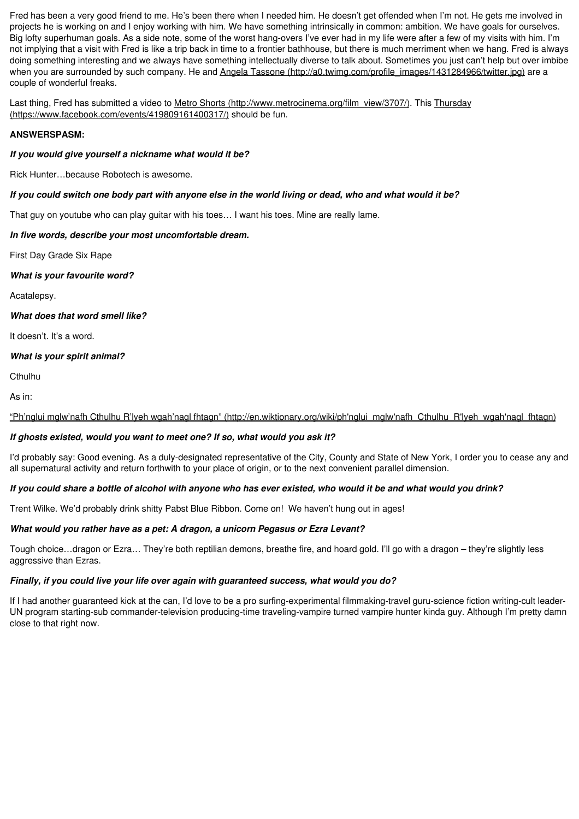Fred has been a very good friend to me. He's been there when I needed him. He doesn't get offended when I'm not. He gets me involved in projects he is working on and I enjoy working with him. We have something intrinsically in common: ambition. We have goals for ourselves. Big lofty superhuman goals. As a side note, some of the worst hang-overs I've ever had in my life were after a few of my visits with him. I'm not implying that a visit with Fred is like a trip back in time to a frontier bathhouse, but there is much merriment when we hang. Fred is always doing something interesting and we always have something intellectually diverse to talk about. Sometimes you just can't help but over imbibe when you are surrounded by such company. He and Angela Tassone [\(http://a0.twimg.com/profile\\_images/1431284966/twitter.jpg\)](http://a0.twimg.com/profile_images/1431284966/twitter.jpg) are a couple of wonderful freaks.

Last thing, Fred has submitted a video to Metro Shorts [\(http://www.metrocinema.org/film\\_view/3707/\).](http://www.metrocinema.org/film_view/3707/) This Thursday [\(https://www.facebook.com/events/419809161400317/\)](https://www.facebook.com/events/419809161400317/) should be fun.

#### **ANSWERSPASM:**

#### *If you would give yourself a nickname what would it be?*

Rick Hunter…because Robotech is awesome.

#### If you could switch one body part with anyone else in the world living or dead, who and what would it be?

That guy on youtube who can play guitar with his toes… Iwant his toes. Mine are really lame.

#### *In five words, describe your most uncomfortable dream.*

First Day Grade Six Rape

*What is your favourite word?*

Acatalepsy.

#### *What does that word smell like?*

It doesn't. It's a word.

#### *What is your spirit animal?*

**Cthulhu** 

As in:

"Ph'nglui mglw'nafh Cthulhu R'lyeh wgah'nagl fhtagn" [\(http://en.wiktionary.org/wiki/ph'nglui\\_mglw'nafh\\_Cthulhu\\_R'lyeh\\_wgah'nagl\\_fhtagn\)](http://en.wiktionary.org/wiki/ph)

#### *If ghosts existed, would you want to meet one? If so, what would you ask it?*

I'd probably say: Good evening. As a duly-designated representative of the City, County and State of New York, I order you to cease any and all supernatural activity and return forthwith to your place of origin, or to the next convenient parallel dimension.

#### If you could share a bottle of alcohol with anyone who has ever existed, who would it be and what would you drink?

Trent Wilke. We'd probably drink shitty Pabst Blue Ribbon. Come on! We haven't hung out in ages!

## *What would you rather have as a pet: A dragon, a unicorn Pegasus or Ezra Levant?*

Tough choice…dragon or Ezra… They're both reptilian demons, breathe fire, and hoard gold. I'll go with a dragon – they're slightly less aggressive than Ezras.

### *Finally, if you could live your life over again with guaranteed success, what would you do?*

If I had another guaranteed kick at the can, I'd love to be a pro surfing-experimental filmmaking-travel guru-science fiction writing-cult leader-UN program starting-sub commander-television producing-time traveling-vampire turned vampire hunter kinda guy. Although I'm pretty damn close to that right now.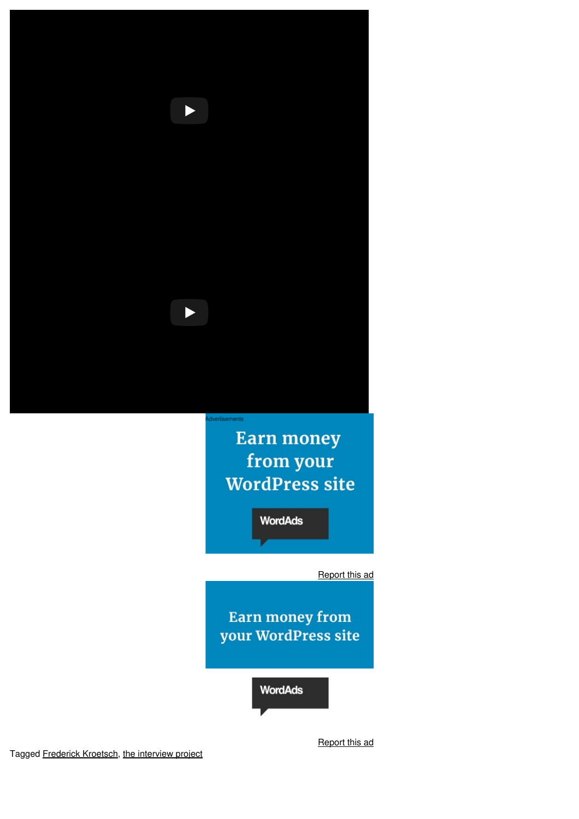

**Earn money** from your **WordPress site** 

**WordAds** 

Report this ad

Earn money from your WordPress site

**WordAds** 

Report this ad